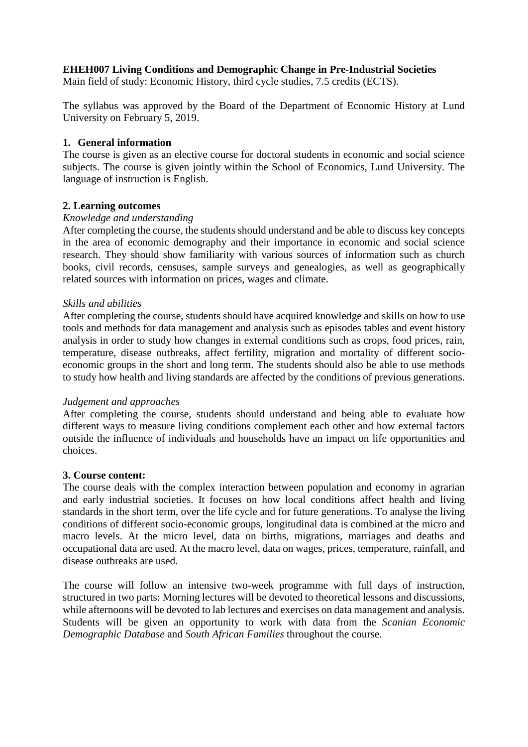# **EHEH007 Living Conditions and Demographic Change in Pre-Industrial Societies**

Main field of study: Economic History, third cycle studies, 7.5 credits (ECTS).

The syllabus was approved by the Board of the Department of Economic History at Lund University on February 5, 2019.

#### **1. General information**

The course is given as an elective course for doctoral students in economic and social science subjects. The course is given jointly within the School of Economics, Lund University. The language of instruction is English.

#### **2. Learning outcomes**

#### *Knowledge and understanding*

After completing the course, the students should understand and be able to discuss key concepts in the area of economic demography and their importance in economic and social science research. They should show familiarity with various sources of information such as church books, civil records, censuses, sample surveys and genealogies, as well as geographically related sources with information on prices, wages and climate.

#### *Skills and abilities*

After completing the course, students should have acquired knowledge and skills on how to use tools and methods for data management and analysis such as episodes tables and event history analysis in order to study how changes in external conditions such as crops, food prices, rain, temperature, disease outbreaks, affect fertility, migration and mortality of different socioeconomic groups in the short and long term. The students should also be able to use methods to study how health and living standards are affected by the conditions of previous generations.

#### *Judgement and approaches*

After completing the course, students should understand and being able to evaluate how different ways to measure living conditions complement each other and how external factors outside the influence of individuals and households have an impact on life opportunities and choices.

#### **3. Course content:**

The course deals with the complex interaction between population and economy in agrarian and early industrial societies. It focuses on how local conditions affect health and living standards in the short term, over the life cycle and for future generations. To analyse the living conditions of different socio-economic groups, longitudinal data is combined at the micro and macro levels. At the micro level, data on births, migrations, marriages and deaths and occupational data are used. At the macro level, data on wages, prices, temperature, rainfall, and disease outbreaks are used.

The course will follow an intensive two-week programme with full days of instruction, structured in two parts: Morning lectures will be devoted to theoretical lessons and discussions, while afternoons will be devoted to lab lectures and exercises on data management and analysis. Students will be given an opportunity to work with data from the *Scanian Economic Demographic Database* and *South African Families* throughout the course.